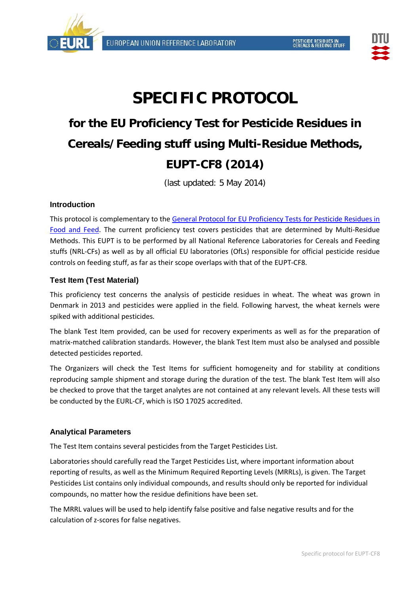



# **SPECIFIC PROTOCOL**

## **for the EU Proficiency Test for Pesticide Residues in Cereals/Feeding stuff using Multi-Residue Methods, EUPT-CF8 (2014)**

(last updated: 5 May 2014)

## **Introduction**

This protocol is complementary to the [General Protocol for EU Proficiency Tests for Pesticide Residues in](http://www.crl-pesticides.eu/library/docs/allcrl/AqcGuidance_Sanco_12495_2011.pdf)  [Food and Feed.](http://www.crl-pesticides.eu/library/docs/allcrl/AqcGuidance_Sanco_12495_2011.pdf) The current proficiency test covers pesticides that are determined by Multi-Residue Methods. This EUPT is to be performed by all National Reference Laboratories for Cereals and Feeding stuffs (NRL-CFs) as well as by all official EU laboratories (OfLs) responsible for official pesticide residue controls on feeding stuff, as far as their scope overlaps with that of the EUPT-CF8.

## **Test Item (Test Material)**

This proficiency test concerns the analysis of pesticide residues in wheat. The wheat was grown in Denmark in 2013 and pesticides were applied in the field. Following harvest, the wheat kernels were spiked with additional pesticides.

The blank Test Item provided, can be used for recovery experiments as well as for the preparation of matrix-matched calibration standards. However, the blank Test Item must also be analysed and possible detected pesticides reported.

The Organizers will check the Test Items for sufficient homogeneity and for stability at conditions reproducing sample shipment and storage during the duration of the test. The blank Test Item will also be checked to prove that the target analytes are not contained at any relevant levels. All these tests will be conducted by the EURL-CF, which is ISO 17025 accredited.

## **Analytical Parameters**

The Test Item contains several pesticides from the [Target Pesticides List.](http://www.crl-pesticides.eu/library/docs/cf/EUPT_C5_SRM6_Target.pdf)

Laboratories should carefully read the Target Pesticides List, where important information about reporting of results, as well as the Minimum Required Reporting Levels (MRRLs), is given. The Target Pesticides List contains only individual compounds, and results should only be reported for individual compounds, no matter how the residue definitions have been set.

The MRRL values will be used to help identify false positive and false negative results and for the calculation of z-scores for false negatives.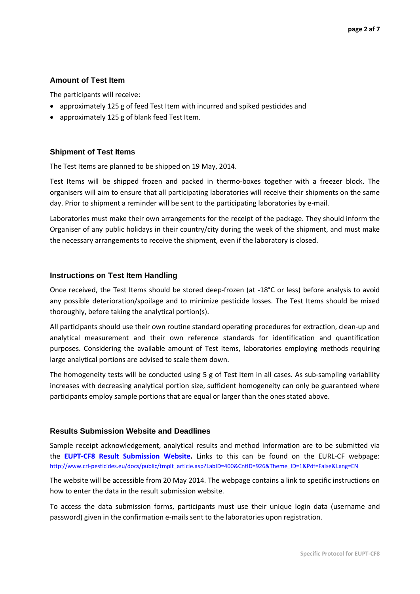#### **Amount of Test Item**

The participants will receive:

- approximately 125 g of feed Test Item with incurred and spiked pesticides and
- approximately 125 g of blank feed Test Item.

#### **Shipment of Test Items**

The Test Items are planned to be shipped on 19 May, 2014.

Test Items will be shipped frozen and packed in thermo-boxes together with a freezer block. The organisers will aim to ensure that all participating laboratories will receive their shipments on the same day. Prior to shipment a reminder will be sent to the participating laboratories by e-mail.

Laboratories must make their own arrangements for the receipt of the package. They should inform the Organiser of any public holidays in their country/city during the week of the shipment, and must make the necessary arrangements to receive the shipment, even if the laboratory is closed.

#### **Instructions on Test Item Handling**

Once received, the Test Items should be stored deep-frozen (at -18°C or less) before analysis to avoid any possible deterioration/spoilage and to minimize pesticide losses. The Test Items should be mixed thoroughly, before taking the analytical portion(s).

All participants should use their own routine standard operating procedures for extraction, clean-up and analytical measurement and their own reference standards for identification and quantification purposes. Considering the available amount of Test Items, laboratories employing methods requiring large analytical portions are advised to scale them down.

The homogeneity tests will be conducted using 5 g of Test Item in all cases. As sub-sampling variability increases with decreasing analytical portion size, sufficient homogeneity can only be guaranteed where participants employ sample portions that are equal or larger than the ones stated above.

#### **Results Submission Website and Deadlines**

Sample receipt acknowledgement, analytical results and method information are to be submitted via the **EUPT-CF8 [Result Submission Website.](http://thor.dfvf.dk/eupt-c6)** Links to this can be found on the EURL-CF webpage: [http://www.crl-pesticides.eu/docs/public/tmplt\\_article.asp?LabID=400&CntID=926&Theme\\_ID=1&Pdf=False&Lang=EN](http://www.crl-pesticides.eu/docs/public/tmplt_article.asp?LabID=400&CntID=926&Theme_ID=1&Pdf=False&Lang=EN)

The website will be accessible from 20 May 2014. The webpage contains a link to specific instructions on how to enter the data in the result submission website.

To access the data submission forms, participants must use their unique login data (username and password) given in the confirmation e-mails sent to the laboratories upon registration.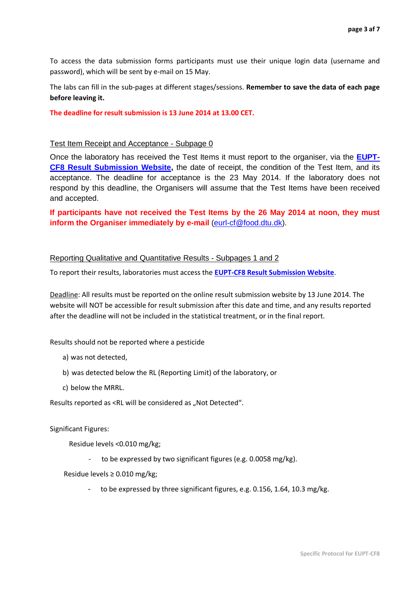To access the data submission forms participants must use their unique login data (username and password), which will be sent by e-mail on 15 May.

The labs can fill in the sub-pages at different stages/sessions. **Remember to save the data of each page before leaving it.** 

**The deadline for result submission is 13 June 2014 at 13.00 CET.**

#### Test Item Receipt and Acceptance - Subpage 0

Once the laboratory has received the Test Items it must report to the organiser, via the **[EUPT-](http://thor.dfvf.dk/eupt-c6)CF8 [Result Submission Website,](http://thor.dfvf.dk/eupt-c6)** the date of receipt, the condition of the Test Item, and its acceptance. The deadline for acceptance is the 23 May 2014. If the laboratory does not respond by this deadline, the Organisers will assume that the Test Items have been received and accepted.

**If participants have not received the Test Items by the 26 May 2014 at noon, they must inform the Organiser immediately by e-mail** [\(eurl-cf@food.dtu.dk\)](mailto:eurl-cf@food.dtu.dk).

#### Reporting Qualitative and Quantitative Results - Subpages 1 and 2

To report their results, laboratories must access the **EUPT-CF8 [Result Submission Website](http://thor.dfvf.dk/eupt-c6)**.

Deadline: All results must be reported on the online result submission website by 13 June 2014. The website will NOT be accessible for result submission after this date and time, and any results reported after the deadline will not be included in the statistical treatment, or in the final report.

Results should not be reported where a pesticide

- a) was not detected,
- b) was detected below the RL (Reporting Limit) of the laboratory, or
- c) below the MRRL.

Results reported as <RL will be considered as "Not Detected".

#### Significant Figures:

Residue levels <0.010 mg/kg;

to be expressed by two significant figures (e.g. 0.0058 mg/kg).

Residue levels ≥ 0.010 mg/kg;

to be expressed by three significant figures, e.g. 0.156, 1.64, 10.3 mg/kg.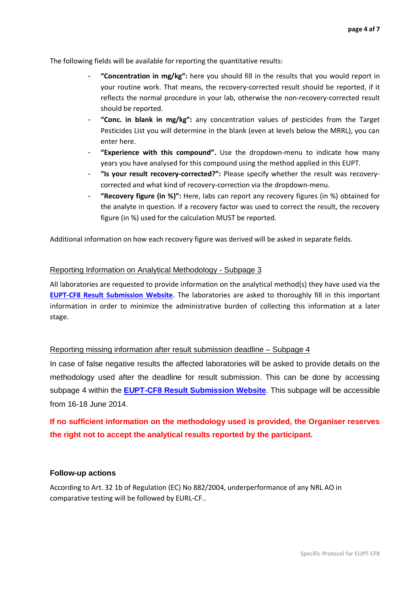The following fields will be available for reporting the quantitative results:

- **"Concentration in mg/kg":** here you should fill in the results that you would report in your routine work. That means, the recovery-corrected result should be reported, if it reflects the normal procedure in your lab, otherwise the non-recovery-corrected result should be reported.
- **"Conc. in blank in mg/kg":** any concentration values of pesticides from the Target Pesticides List you will determine in the blank (even at levels below the MRRL), you can enter here.
- **"Experience with this compound".** Use the dropdown-menu to indicate how many years you have analysed for this compound using the method applied in this EUPT.
- **"Is your result recovery-corrected?":** Please specify whether the result was recoverycorrected and what kind of recovery-correction via the dropdown-menu.
- **"Recovery figure (in %)":** Here, labs can report any recovery figures (in %) obtained for the analyte in question. If a recovery factor was used to correct the result, the recovery figure (in %) used for the calculation MUST be reported.

Additional information on how each recovery figure was derived will be asked in separate fields.

#### Reporting Information on Analytical Methodology - Subpage 3

All laboratories are requested to provide information on the analytical method(s) they have used via the **EUPT-CF8 [Result Submission Website](http://thor.dfvf.dk/eupt-c6)**. The laboratories are asked to thoroughly fill in this important information in order to minimize the administrative burden of collecting this information at a later stage.

#### Reporting missing information after result submission deadline – Subpage 4

In case of false negative results the affected laboratories will be asked to provide details on the methodology used after the deadline for result submission. This can be done by accessing subpage 4 within the **EUPT-CF8 [Result Submission Website](http://thor.dfvf.dk/eupt-c6)**. This subpage will be accessible from 16-18 June 2014.

## **If no sufficient information on the methodology used is provided, the Organiser reserves the right not to accept the analytical results reported by the participant.**

#### **Follow-up actions**

According to Art. 32 1b of Regulation (EC) No 882/2004, underperformance of any NRL AO in comparative testing will be followed by EURL-CF..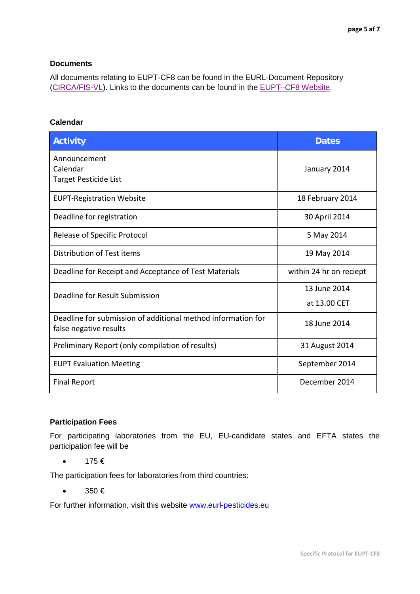#### **Documents**

All documents relating to EUPT-CF8 can be found in the EURL-Document Repository [\(CIRCA/FIS-VL\)](http://fis-vl.bund.de/Public/irc/fis-vl/Home/main). Links to the documents can be found in the [EUPT–CF8](http://www.crl-pesticides.eu/docs/public/tmplt_article.asp?CntID=926&LabID=400&Lang=EN) Website.

## **Calendar**

| <b>Activity</b>                                                                        | <b>Dates</b>                 |
|----------------------------------------------------------------------------------------|------------------------------|
| Announcement<br>Calendar<br>Target Pesticide List                                      | January 2014                 |
| <b>EUPT-Registration Website</b>                                                       | 18 February 2014             |
| Deadline for registration                                                              | 30 April 2014                |
| <b>Release of Specific Protocol</b>                                                    | 5 May 2014                   |
| Distribution of Test items                                                             | 19 May 2014                  |
| Deadline for Receipt and Acceptance of Test Materials                                  | within 24 hr on reciept      |
| Deadline for Result Submission                                                         | 13 June 2014<br>at 13.00 CET |
| Deadline for submission of additional method information for<br>false negative results | 18 June 2014                 |
| Preliminary Report (only compilation of results)                                       | 31 August 2014               |
| <b>EUPT Evaluation Meeting</b>                                                         | September 2014               |
| <b>Final Report</b>                                                                    | December 2014                |

## **Participation Fees**

For participating laboratories from the EU, EU-candidate states and EFTA states the participation fee will be

 $\bullet$  175 $\in$ 

The participation fees for laboratories from third countries:

 $\bullet$  350  $\in$ 

For further information, visit this website [www.eurl-pesticides.eu](http://www.eurl-pesticides.eu/)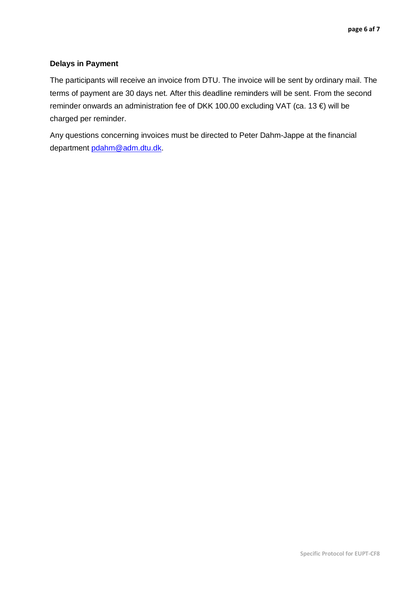## **Delays in Payment**

The participants will receive an invoice from DTU. The invoice will be sent by ordinary mail. The terms of payment are 30 days net. After this deadline reminders will be sent. From the second reminder onwards an administration fee of DKK 100.00 excluding VAT (ca. 13 €) will be charged per reminder.

Any questions concerning invoices must be directed to Peter Dahm-Jappe at the financial department [pdahm@adm.dtu.dk.](mailto:pdahm@adm.dtu.dk)